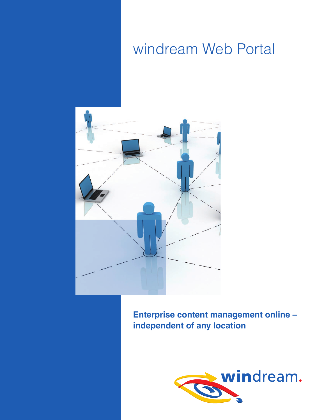# windream Web Portal



**Enterprise content management online – independent of any location**

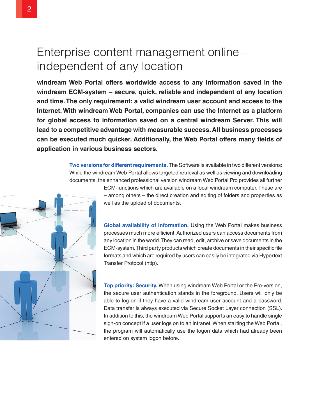# Enterprise content management online – independent of any location

**windream Web Portal offers worldwide access to any information saved in the windream ECM-system – secure, quick, reliable and independent of any location and time. The only requirement: a valid windream user account and access to the Internet. With windream Web Portal, companies can use the Internet as a platform for global access to information saved on a central windream Server. This will lead to a competitive advantage with measurable success. All business processes can be executed much quicker. Additionally, the Web Portal offers many fields of application in various business sectors.**

> **Two versions for different requirements.** The Software is available in two different versions: While the windream Web Portal allows targeted retrieval as well as viewing and downloading documents, the enhanced professional version windream Web Portal Pro provides all further



**Global availability of information.** Using the Web Portal makes business processes much more efficient. Authorized users can access documents from any location in the world. They can read, edit, archive or save documents in the ECM-system. Third party products which create documents in their specific file formats and which are required by users can easily be integrated via Hypertext Transfer Protocol (http).

**Top priority: Security.** When using windream Web Portal or the Pro-version, the secure user authentication stands in the foreground. Users will only be able to log on if they have a valid windream user account and a password. Data transfer is always executed via Secure Socket Layer connection (SSL). In addition to this, the windream Web Portal supports an easy to handle single sign-on concept if a user logs on to an intranet. When starting the Web Portal, the program will automatically use the logon data which had already been entered on system logon before.

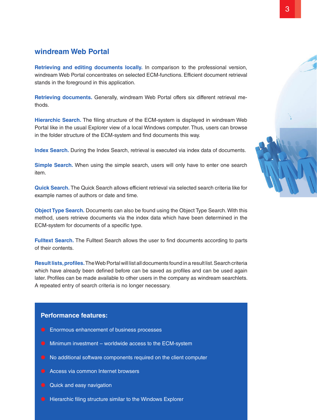### **windream Web Portal**

**Retrieving and editing documents locally.** In comparison to the professional version, windream Web Portal concentrates on selected ECM-functions. Efficient document retrieval stands in the foreground in this application.

**Retrieving documents.** Generally, windream Web Portal offers six different retrieval methods.

**Hierarchic Search.** The filing structure of the ECM-system is displayed in windream Web Portal like in the usual Explorer view of a local Windows computer. Thus, users can browse in the folder structure of the ECM-system and find documents this way.

**Index Search.** During the Index Search, retrieval is executed via index data of documents.

**Simple Search.** When using the simple search, users will only have to enter one search item.

**Quick Search.** The Quick Search allows efficient retrieval via selected search criteria like for example names of authors or date and time.

**Object Type Search.** Documents can also be found using the Object Type Search. With this method, users retrieve documents via the index data which have been determined in the ECM-system for documents of a specific type.

**Fulltext Search.** The Fulltext Search allows the user to find documents according to parts of their contents.

**Result lists, profiles.** The Web Portal will list all documents found in a result list. Search criteria which have already been defined before can be saved as profiles and can be used again later. Profiles can be made available to other users in the company as windream searchlets. A repeated entry of search criteria is no longer necessary.

### **Performance features:**

- $\bullet$  Enormous enhancement of business processes
- $\bullet$  Minimum investment worldwide access to the ECM-system
- No additional software components required on the client computer
- Access via common Internet browsers
- $\bullet$  Quick and easy navigation
- $\bullet$  Hierarchic filing structure similar to the Windows Explorer

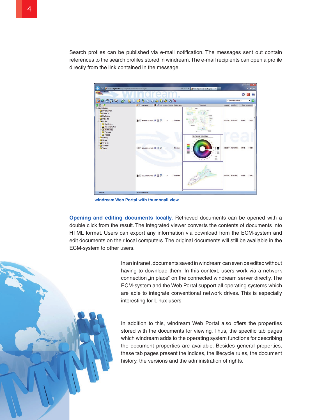Search profiles can be published via e-mail notification. The messages sent out contain references to the search profiles stored in windream. The e-mail recipients can open a profile directly from the link contained in the message.



**windream Web Portal with thumbnail view**

**Opening and editing documents locally.** Retrieved documents can be opened with a double click from the result. The integrated viewer converts the contents of documents into HTML format. Users can export any information via download from the ECM-system and edit documents on their local computers. The original documents will still be available in the ECM-system to other users.

> In an intranet, documents saved in windream can even be edited without having to download them. In this context, users work via a network connection "in place" on the connected windream server directly. The ECM-system and the Web Portal support all operating systems which are able to integrate conventional network drives. This is especially interesting for Linux users.

> In addition to this, windream Web Portal also offers the properties stored with the documents for viewing. Thus, the specific tab pages which windream adds to the operating system functions for describing the document properties are available. Besides general properties, these tab pages present the indices, the lifecycle rules, the document history, the versions and the administration of rights.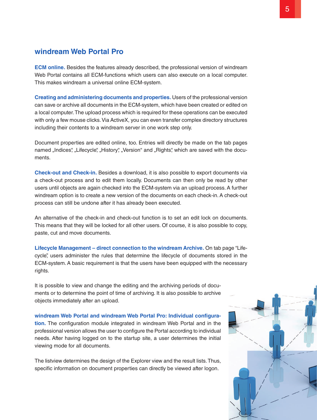### **windream Web Portal Pro**

**ECM online.** Besides the features already described, the professional version of windream Web Portal contains all ECM-functions which users can also execute on a local computer. This makes windream a universal online ECM-system.

**Creating and administering documents and properties.** Users of the professional version can save or archive all documents in the ECM-system, which have been created or edited on a local computer. The upload process which is required for these operations can be executed with only a few mouse clicks. Via ActiveX, you can even transfer complex directory structures including their contents to a windream server in one work step only.

Document properties are edited online, too. Entries will directly be made on the tab pages named "Indices", "Lifecycle", "History", "Version" and "Rights", which are saved with the documents.

**Check-out and Check-in.** Besides a download, it is also possible to export documents via a check-out process and to edit them locally. Documents can then only be read by other users until objects are again checked into the ECM-system via an upload process. A further windream option is to create a new version of the documents on each check-in. A check-out process can still be undone after it has already been executed.

An alternative of the check-in and check-out function is to set an edit lock on documents. This means that they will be locked for all other users. Of course, it is also possible to copy, paste, cut and move documents.

**Lifecycle Management – direct connection to the windream Archive.** On tab page "Lifecycle", users administer the rules that determine the lifecycle of documents stored in the ECM-system. A basic requirement is that the users have been equipped with the necessary rights.

It is possible to view and change the editing and the archiving periods of documents or to determine the point of time of archiving. It is also possible to archive objects immediately after an upload.

**windream Web Portal and windream Web Portal Pro: Individual configuration.** The configuration module integrated in windream Web Portal and in the professional version allows the user to configure the Portal according to individual needs. After having logged on to the startup site, a user determines the initial viewing mode for all documents.

The listview determines the design of the Explorer view and the result lists. Thus, specific information on document properties can directly be viewed after logon.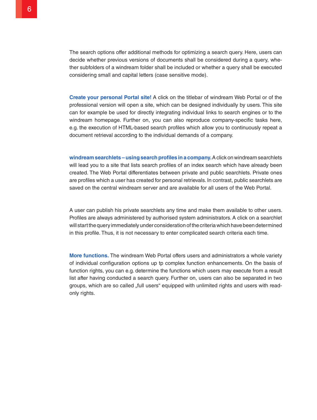The search options offer additional methods for optimizing a search query. Here, users can decide whether previous versions of documents shall be considered during a query, whether subfolders of a windream folder shall be included or whether a query shall be executed considering small and capital letters (case sensitive mode).

**Create your personal Portal site!** A click on the titlebar of windream Web Portal or of the professional version will open a site, which can be designed individually by users. This site can for example be used for directly integrating individual links to search engines or to the windream homepage. Further on, you can also reproduce company-specific tasks here, e.g. the execution of HTML-based search profiles which allow you to continuously repeat a document retrieval according to the individual demands of a company.

**windream searchlets – using search profiles in a company.** A click on windream searchlets will lead you to a site that lists search profiles of an index search which have already been created. The Web Portal differentiates between private and public searchlets. Private ones are profiles which a user has created for personal retrievals. In contrast, public searchlets are saved on the central windream server and are available for all users of the Web Portal.

A user can publish his private searchlets any time and make them available to other users. Profiles are always administered by authorised system administrators. A click on a searchlet will start the query immediately under consideration of the criteria which have been determined in this profile. Thus, it is not necessary to enter complicated search criteria each time.

**More functions.** The windream Web Portal offers users and administrators a whole variety of individual configuration options up tp complex function enhancements. On the basis of function rights, you can e.g. determine the functions which users may execute from a result list after having conducted a search query. Further on, users can also be separated in two groups, which are so called "full users" equipped with unlimited rights and users with readonly rights.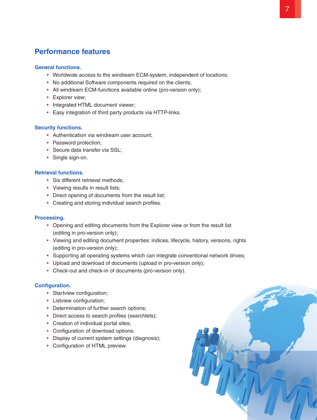## **Performance features**

### **General functions.**

- Worldwide access to the windream ECM-system, independent of locations;
- No additional Software components required on the clients;
- All windream ECM-functions available online (pro-version only);
- Explorer view;
- Integrated HTML document viewer:
- Easy integration of third party products via HTTP-links.

### **Security functions.**

- Authentication via windream user account;
- Password protection:
- Secure data transfer via SSL;
- Single sign-on.

### **Retrieval functions.**

- Six different retrieval methods:
- Viewing results in result lists;
- Direct opening of documents from the result list;
- Creating and storing individual search profiles.

### **Processing.**

- Opening and editing documents from the Explorer view or from the result list (editing in pro-version only);
- Viewing and editing document properties: indices, lifecycle, history, versions, rights (editing in pro-version only);
- Supporting all operating systems which can integrate conventional network drives;
- Upload and download of documents (upload in pro-version only);
- Check-out and check-in of documents (pro-version only).

### **Configuration.**

- Startview configuration;
- Listview configuration;
- Determination of further search options;
- Direct access to search profiles (searchlets);
- Creation of individual portal sites;
- Configuration of download options;
- Display of current system settings (diagnosis);
- Configuration of HTML preview.